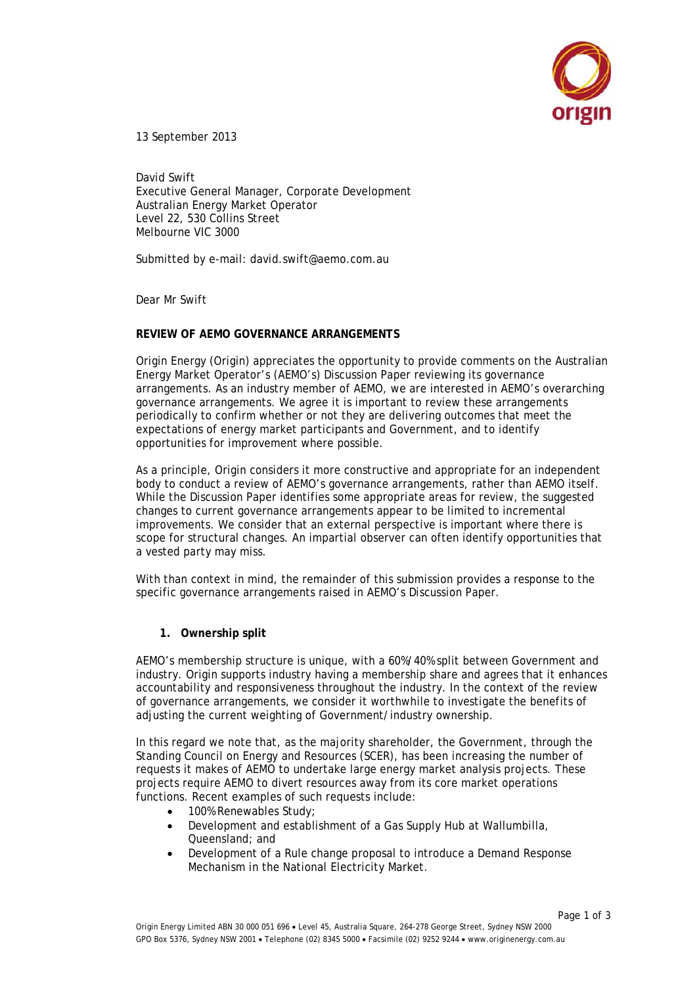

13 September 2013

David Swift Executive General Manager, Corporate Development Australian Energy Market Operator Level 22, 530 Collins Street Melbourne VIC 3000

Submitted by e-mail: david.swift@aemo.com.au

Dear Mr Swift

# **REVIEW OF AEMO GOVERNANCE ARRANGEMENTS**

Origin Energy (Origin) appreciates the opportunity to provide comments on the Australian Energy Market Operator's (AEMO's) Discussion Paper reviewing its governance arrangements. As an industry member of AEMO, we are interested in AEMO's overarching governance arrangements. We agree it is important to review these arrangements periodically to confirm whether or not they are delivering outcomes that meet the expectations of energy market participants and Government, and to identify opportunities for improvement where possible.

As a principle, Origin considers it more constructive and appropriate for an independent body to conduct a review of AEMO's governance arrangements, rather than AEMO itself. While the Discussion Paper identifies some appropriate areas for review, the suggested changes to current governance arrangements appear to be limited to incremental improvements. We consider that an external perspective is important where there is scope for structural changes. An impartial observer can often identify opportunities that a vested party may miss.

With than context in mind, the remainder of this submission provides a response to the specific governance arrangements raised in AEMO's Discussion Paper.

**1. Ownership split**

AEMO's membership structure is unique, with a 60%/40% split between Government and industry. Origin supports industry having a membership share and agrees that it enhances accountability and responsiveness throughout the industry. In the context of the review of governance arrangements, we consider it worthwhile to investigate the benefits of adjusting the current weighting of Government/industry ownership.

In this regard we note that, as the majority shareholder, the Government, through the Standing Council on Energy and Resources (SCER), has been increasing the number of requests it makes of AEMO to undertake large energy market analysis projects. These projects require AEMO to divert resources away from its core market operations functions. Recent examples of such requests include:

- 100% Renewables Study;
- Development and establishment of a Gas Supply Hub at Wallumbilla, Queensland; and
- Development of a Rule change proposal to introduce a Demand Response Mechanism in the National Electricity Market.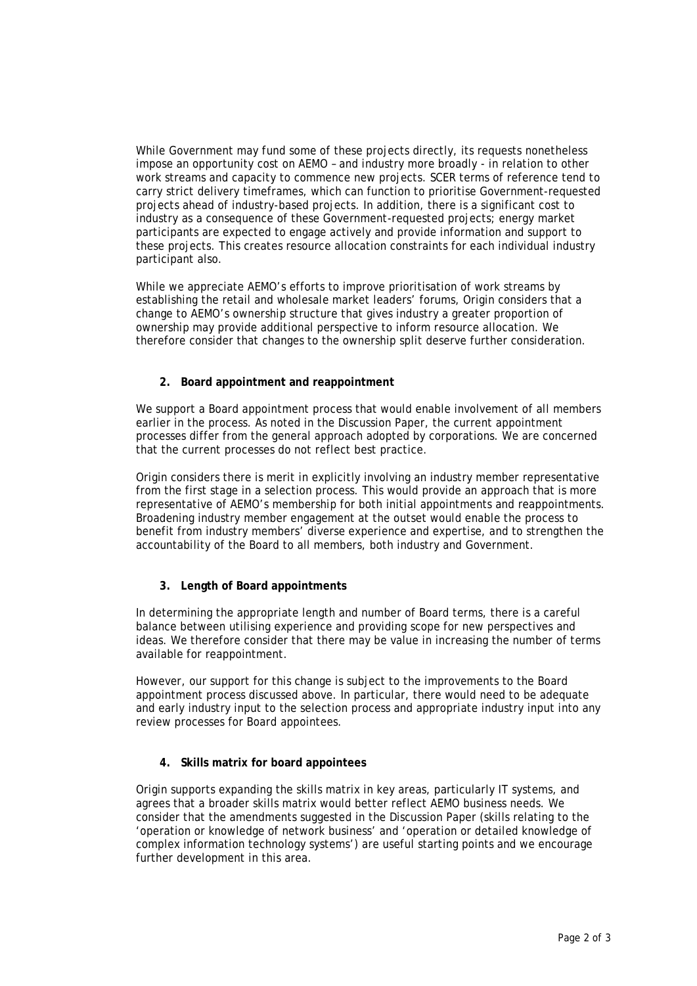While Government may fund some of these projects directly, its requests nonetheless impose an opportunity cost on AEMO – and industry more broadly - in relation to other work streams and capacity to commence new projects. SCER terms of reference tend to carry strict delivery timeframes, which can function to prioritise Government-requested projects ahead of industry-based projects. In addition, there is a significant cost to industry as a consequence of these Government-requested projects; energy market participants are expected to engage actively and provide information and support to these projects. This creates resource allocation constraints for each individual industry participant also.

While we appreciate AEMO's efforts to improve prioritisation of work streams by establishing the retail and wholesale market leaders' forums, Origin considers that a change to AEMO's ownership structure that gives industry a greater proportion of ownership may provide additional perspective to inform resource allocation. We therefore consider that changes to the ownership split deserve further consideration.

# **2. Board appointment and reappointment**

We support a Board appointment process that would enable involvement of all members earlier in the process. As noted in the Discussion Paper, the current appointment processes differ from the general approach adopted by corporations. We are concerned that the current processes do not reflect best practice.

Origin considers there is merit in explicitly involving an industry member representative from the first stage in a selection process. This would provide an approach that is more representative of AEMO's membership for both initial appointments and reappointments. Broadening industry member engagement at the outset would enable the process to benefit from industry members' diverse experience and expertise, and to strengthen the accountability of the Board to all members, both industry and Government.

# **3. Length of Board appointments**

In determining the appropriate length and number of Board terms, there is a careful balance between utilising experience and providing scope for new perspectives and ideas. We therefore consider that there may be value in increasing the number of terms available for reappointment.

However, our support for this change is subject to the improvements to the Board appointment process discussed above. In particular, there would need to be adequate and early industry input to the selection process and appropriate industry input into any review processes for Board appointees.

# **4. Skills matrix for board appointees**

Origin supports expanding the skills matrix in key areas, particularly IT systems, and agrees that a broader skills matrix would better reflect AEMO business needs. We consider that the amendments suggested in the Discussion Paper (skills relating to the 'operation or knowledge of network business' and 'operation or detailed knowledge of complex information technology systems') are useful starting points and we encourage further development in this area.